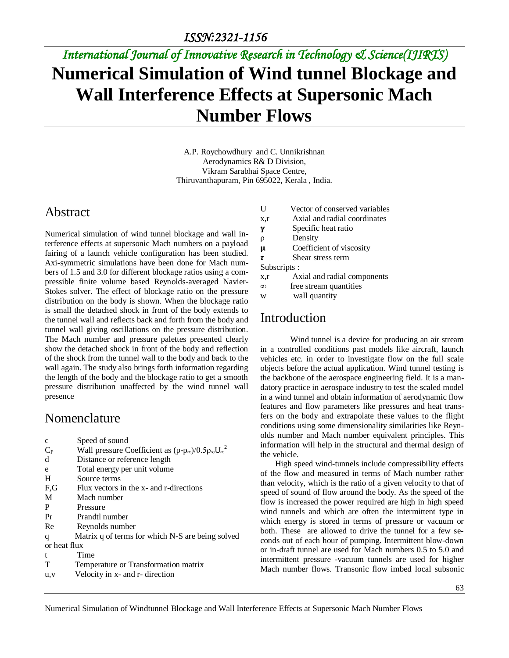# *International Journal of Innovative Research in Technology & Science(IJIRTS)* **Numerical Simulation of Wind tunnel Blockage and Wall Interference Effects at Supersonic Mach Number Flows**

A.P. Roychowdhury and C. Unnikrishnan Aerodynamics R& D Division, Vikram Sarabhai Space Centre, Thiruvanthapuram, Pin 695022, Kerala , India.

#### Abstract

Numerical simulation of wind tunnel blockage and wall interference effects at supersonic Mach numbers on a payload fairing of a launch vehicle configuration has been studied. Axi-symmetric simulations have been done for Mach numbers of 1.5 and 3.0 for different blockage ratios using a compressible finite volume based Reynolds-averaged Navier-Stokes solver. The effect of blockage ratio on the pressure distribution on the body is shown. When the blockage ratio is small the detached shock in front of the body extends to the tunnel wall and reflects back and forth from the body and tunnel wall giving oscillations on the pressure distribution. The Mach number and pressure palettes presented clearly show the detached shock in front of the body and reflection of the shock from the tunnel wall to the body and back to the wall again. The study also brings forth information regarding the length of the body and the blockage ratio to get a smooth pressure distribution unaffected by the wind tunnel wall presence

#### Nomenclature

| C            | Speed of sound                                                          |
|--------------|-------------------------------------------------------------------------|
| $C_{P}$      | Wall pressure Coefficient as $(p-p_{\infty})/0.5p_{\infty}U_{\infty}^2$ |
| d            | Distance or reference length                                            |
| e            | Total energy per unit volume                                            |
| H            | Source terms                                                            |
| F,G          | Flux vectors in the x- and r-directions                                 |
| M            | Mach number                                                             |
| P            | Pressure                                                                |
| Pr           | Prandtl number                                                          |
| Re           | Reynolds number                                                         |
| q            | Matrix q of terms for which N-S are being solved                        |
| or heat flux |                                                                         |
| t            | Time                                                                    |
|              | Temperature or Transformation matrix                                    |
| u,v          | Velocity in x- and r- direction                                         |
|              |                                                                         |

- U Vector of conserved variables
- x,r Axial and radial coordinates
- $\gamma$  Specific heat ratio
- ρ Density
- Coefficient of viscosity
- Shear stress term

Subscripts :

- x,r Axial and radial components
- ∞ free stream quantities
- w wall quantity

#### Introduction

Wind tunnel is a device for producing an air stream in a controlled conditions past models like aircraft, launch vehicles etc. in order to investigate flow on the full scale objects before the actual application. Wind tunnel testing is the backbone of the aerospace engineering field. It is a mandatory practice in aerospace industry to test the scaled model in a wind tunnel and obtain information of aerodynamic flow features and flow parameters like pressures and heat transfers on the body and extrapolate these values to the flight conditions using some dimensionality similarities like Reynolds number and Mach number equivalent principles. This information will help in the structural and thermal design of the vehicle.

High speed wind-tunnels include compressibility effects of the flow and measured in terms of Mach number rather than velocity, which is the ratio of a given velocity to that of speed of sound of flow around the body. As the speed of the flow is increased the power required are high in high speed wind tunnels and which are often the intermittent type in which energy is stored in terms of pressure or vacuum or both. These are allowed to drive the tunnel for a few seconds out of each hour of pumping. Intermittent blow-down or in-draft tunnel are used for Mach numbers 0.5 to 5.0 and intermittent pressure -vacuum tunnels are used for higher Mach number flows. Transonic flow imbed local subsonic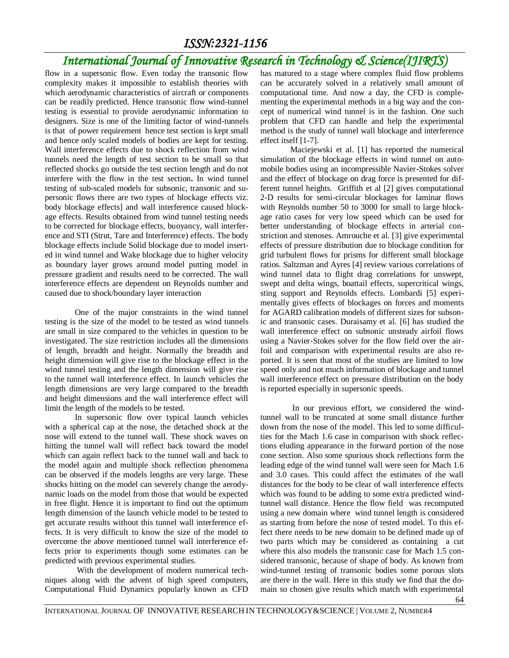# *International Journal of Innovative Research in Technology & Science(IJIRTS)*

flow in a supersonic flow. Even today the transonic flow complexity makes it impossible to establish theories with which aerodynamic characteristics of aircraft or components can be readily predicted. Hence transonic flow wind-tunnel testing is essential to provide aerodynamic information to designers. Size is one of the limiting factor of wind-tunnels is that of power requirement hence test section is kept small and hence only scaled models of bodies are kept for testing. Wall interference effects due to shock reflection from wind tunnels need the length of test section to be small so that reflected shocks go outside the test section length and do not interfere with the flow in the test section**.** In wind tunnel testing of sub-scaled models for subsonic, transonic and supersonic flows there are two types of blockage effects viz. body blockage effects] and wall interference caused blockage effects. Results obtained from wind tunnel testing needs to be corrected for blockage effects, buoyancy, wall interference and STI (Strut, Tare and Interference) effects. The body blockage effects include Solid blockage due to model inserted in wind tunnel and Wake blockage due to higher velocity as boundary layer grows around model putting model in pressure gradient and results need to be corrected. The wall interference effects are dependent on Reynolds number and caused due to shock/boundary layer interaction

One of the major constraints in the wind tunnel testing is the size of the model to be tested as wind tunnels are small in size compared to the vehicles in question to be investigated. The size restriction includes all the dimensions of length, breadth and height. Normally the breadth and height dimension will give rise to the blockage effect in the wind tunnel testing and the length dimension will give rise to the tunnel wall interference effect. In launch vehicles the length dimensions are very large compared to the breadth and height dimensions and the wall interference effect will limit the length of the models to be tested.

In supersonic flow over typical launch vehicles with a spherical cap at the nose, the detached shock at the nose will extend to the tunnel wall. These shock waves on hitting the tunnel wall will reflect back toward the model which can again reflect back to the tunnel wall and back to the model again and multiple shock reflection phenomena can be observed if the models lengths are very large. These shocks hitting on the model can severely change the aerodynamic loads on the model from those that would be expected in free flight. Hence it is important to find out the optimum length dimension of the launch vehicle model to be tested to get accurate results without this tunnel wall interference effects. It is very difficult to know the size of the model to overcome the above mentioned tunnel wall interference effects prior to experiments though some estimates can be predicted with previous experimental studies.

With the development of modern numerical techniques along with the advent of high speed computers, Computational Fluid Dynamics popularly known as CFD has matured to a stage where complex fluid flow problems can be accurately solved in a relatively small amount of computational time. And now a day, the CFD is complementing the experimental methods in a big way and the concept of numerical wind tunnel is in the fashion. One such problem that CFD can handle and help the experimental method is the study of tunnel wall blockage and interference effect itself [1-7].

Maciejewski et al. [1] has reported the numerical simulation of the blockage effects in wind tunnel on automobile bodies using an incompressible Navier-Stokes solver and the effect of blockage on drag force is presented for different tunnel heights. Griffith et al [2] gives computational 2-D results for semi-circular blockages for laminar flows with Reynolds number 50 to 3000 for small to large blockage ratio cases for very low speed which can be used for better understanding of blockage effects in arterial constriction and stenoses. Amrouche et al. [3] give experimental effects of pressure distribution due to blockage condition for grid turbulent flows for prisms for different small blockage ratios. Saltzman and Ayres [4] review various correlations of wind tunnel data to flight drag correlations for unswept, swept and delta wings, boattail effects, supercritical wings, sting support and Reynolds effects. Lombardi [5] experimentally gives effects of blockages on forces and moments for AGARD calibration models of different sizes for subsonic and transonic cases. Duraisamy et al. [6] has studied the wall interference effect on subsonic unsteady airfoil flows using a Navier-Stokes solver for the flow field over the airfoil and comparison with experimental results are also reported. It is seen that most of the studies are limited to low speed only and not much information of blockage and tunnel wall interference effect on pressure distribution on the body is reported especially in supersonic speeds.

In our previous effort, we considered the windtunnel wall to be truncated at some small distance further down from the nose of the model. This led to some difficulties for the Mach 1.6 case in comparison with shock reflections eluding appearance in the forward portion of the nose cone section. Also some spurious shock reflections form the leading edge of the wind tunnel wall were seen for Mach 1.6 and 3.0 cases. This could affect the estimates of the wall distances for the body to be clear of wall interference effects which was found to be adding to some extra predicted windtunnel wall distance. Hence the flow field was recomputed using a new domain where wind tunnel length is considered as starting from before the nose of tested model. To this effect there needs to be new domain to be defined made up of two parts which may be considered as containing a cut where this also models the transonic case for Mach 1.5 considered transonic, because of shape of body. As known from wind-tunnel testing of transonic bodies some porous slots are there in the wall. Here in this study we find that the domain so chosen give results which match with experimental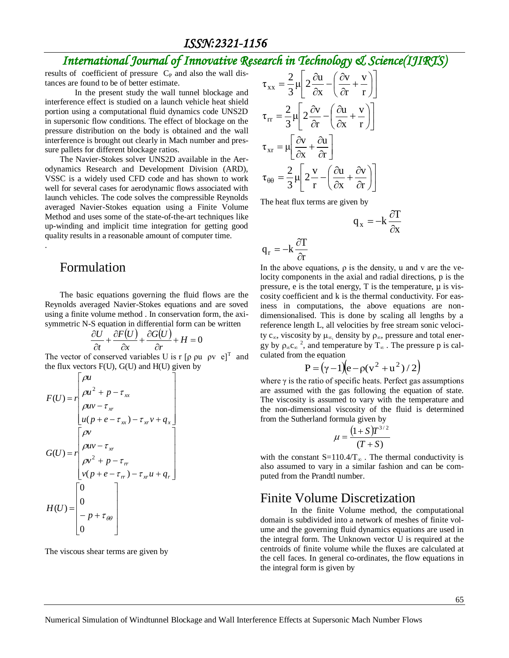# *International Journal of Innovative Research in Technology & Science(IJIRTS)*

results of coefficient of pressure  $C_{P}$  and also the wall distances are found to be of better estimate.

In the present study the wall tunnel blockage and interference effect is studied on a launch vehicle heat shield portion using a computational fluid dynamics code UNS2D in supersonic flow conditions. The effect of blockage on the pressure distribution on the body is obtained and the wall interference is brought out clearly in Mach number and pressure pallets for different blockage ratios.

The Navier-Stokes solver UNS2D available in the Aerodynamics Research and Development Division (ARD), VSSC is a widely used CFD code and has shown to work well for several cases for aerodynamic flows associated with launch vehicles. The code solves the compressible Reynolds averaged Navier-Stokes equation using a Finite Volume Method and uses some of the state-of-the-art techniques like up-winding and implicit time integration for getting good quality results in a reasonable amount of computer time.

#### Formulation

.

The basic equations governing the fluid flows are the Reynolds averaged Navier-Stokes equations and are soved using a finite volume method . In conservation form, the axisymmetric N-S equation in differential form can be written

$$
\frac{\partial U}{\partial t} + \frac{\partial F(U)}{\partial x} + \frac{\partial G(U)}{\partial r} + H = 0
$$

The vector of conserved variables U is r  $[\rho \rho \omega \rho v e]^T$  and the flux vectors F(U), G(U) and H(U) given by

$$
F(U) = r \begin{bmatrix} \rho u \\ \rho u^2 + p - \tau_{xx} \\ \rho uv - \tau_{xx} \\ u(p + e - \tau_{xx}) - \tau_{xx}v + q_x \end{bmatrix}
$$

$$
G(U) = r \begin{bmatrix} \rho v \\ \rho uv \\ \rho v^2 + p - \tau_{rr} \\ v(p + e - \tau_{rr}) - \tau_{xx}u + q_r \end{bmatrix}
$$

$$
H(U) = \begin{bmatrix} 0 \\ 0 \\ -p + \tau_{\theta\theta} \\ 0 \end{bmatrix}
$$

The viscous shear terms are given by

$$
\tau_{xx} = \frac{2}{3} \mu \left[ 2 \frac{\partial u}{\partial x} - \left( \frac{\partial v}{\partial r} + \frac{v}{r} \right) \right]
$$

$$
\tau_{rr} = \frac{2}{3} \mu \left[ 2 \frac{\partial v}{\partial r} - \left( \frac{\partial u}{\partial x} + \frac{v}{r} \right) \right]
$$

$$
\tau_{xr} = \mu \left[ \frac{\partial v}{\partial x} + \frac{\partial u}{\partial r} \right]
$$

$$
\tau_{\theta\theta} = \frac{2}{3} \mu \left[ 2 \frac{v}{r} - \left( \frac{\partial u}{\partial x} + \frac{\partial v}{\partial r} \right) \right]
$$

The heat flux terms are given by

$$
q_x = -k \frac{\partial T}{\partial x}
$$

$$
q_r=-k\frac{\partial T}{\partial r}
$$

In the above equations,  $\rho$  is the density, u and v are the velocity components in the axial and radial directions, p is the pressure, e is the total energy,  $T$  is the temperature,  $\mu$  is viscosity coefficient and k is the thermal conductivity. For easiness in computations, the above equations are nondimensionalised. This is done by scaling all lengths by a reference length L, all velocities by free stream sonic velocity c<sub>∞</sub>, viscosity by  $\mu_{\infty}$ , density by  $\rho_{\infty}$ , pressure and total energy by  $\rho_{\infty} c_{\infty}^2$ , and temperature by  $T_{\infty}$ . The pressure p is calculated from the equation

$$
P = (\gamma - 1)(e - \rho(v^2 + u^2)/2)
$$

where  $\gamma$  is the ratio of specific heats. Perfect gas assumptions are assumed with the gas following the equation of state. The viscosity is assumed to vary with the temperature and the non-dimensional viscosity of the fluid is determined from the Sutherland formula given by

$$
\mu = \frac{(1+S)T^{3/2}}{(T+S)}
$$

with the constant  $S=110.4/T_{\infty}$ . The thermal conductivity is also assumed to vary in a similar fashion and can be computed from the Prandtl number.

#### Finite Volume Discretization

In the finite Volume method, the computational domain is subdivided into a network of meshes of finite volume and the governing fluid dynamics equations are used in the integral form. The Unknown vector U is required at the centroids of finite volume while the fluxes are calculated at the cell faces. In general co-ordinates, the flow equations in the integral form is given by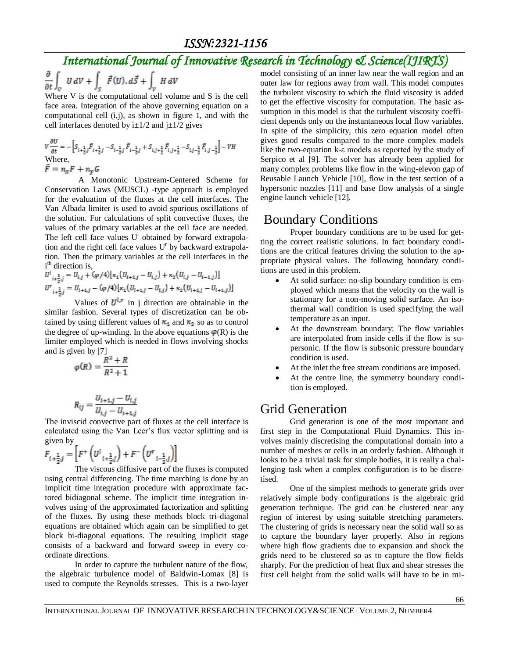# *International Journal of Innovative Research in Technology & Science(IJIRTS)*

$$
\frac{\partial}{\partial t} \int_{V} U dV + \int_{S} \vec{F}(U) \cdot d\vec{S} + \int_{V} H dV
$$

Where V is the computational cell volume and S is the cell face area. Integration of the above governing equation on a computational cell (i,j), as shown in figure 1, and with the cell interfaces denoted by  $i \pm 1/2$  and  $i \pm 1/2$  gives

$$
\begin{aligned} v\frac{\partial U}{\partial t} &= -\left[S_{i+\frac{1}{2},j}\hat{F}_{i+\frac{1}{2},j} - S_{i-\frac{1}{2},j}\hat{F}_{i-\frac{1}{2},j} + S_{i,j+\frac{1}{2}}\hat{F}_{i,j+\frac{1}{2}} - S_{i,j-\frac{1}{2}}\hat{F}_{i,j-\frac{1}{2}}\right] - VH \\ \text{Where,} \\ \hat{F} &= n_x F + n_y G \end{aligned}
$$

 A Monotonic Upstream-Centered Scheme for Conservation Laws (MUSCL) -type approach is employed for the evaluation of the fluxes at the cell interfaces. The Van Albada limiter is used to avoid spurious oscillations of the solution. For calculations of split convective fluxes, the values of the primary variables at the cell face are needed. The left cell face values  $U^1$  obtained by forward extrapolation and the right cell face values  $U<sup>r</sup>$  by backward extrapolation. Then the primary variables at the cell interfaces in the i<sup>th</sup> direction is,

$$
U^l_{i+\frac{1}{2},j} = U_{i,j} + (\varphi/4) [\kappa_1 (U_{i+1,j} - U_{i,j}) + \kappa_2 (U_{i,j} - U_{i-1,j})]
$$
  

$$
U^r_{i+\frac{1}{2},j} = U_{i+1,j} - (\varphi/4) [\kappa_1 (U_{i+1,j} - U_{i,j}) + \kappa_2 (U_{i+2,j} - U_{i+1,j})]
$$

Values of  $U^{l,r}$  in j direction are obtainable in the similar fashion. Several types of discretization can be obtained by using different values of  $\kappa_1$  and  $\kappa_2$  so as to control the degree of up-winding. In the above equations  $\varphi(R)$  is the limiter employed which is needed in flows involving shocks and is given by [7]

$$
\varphi(R)=\frac{R^2+R}{R^2+1}
$$

$$
R_{ij} = \frac{U_{i+1,j} - U_{i,j}}{U_{i,j} - U_{i+1,j}}
$$

The inviscid convective part of fluxes at the cell interface is calculated using the Van Leer's flux vector splitting and is given by

$$
F_{i+\tfrac{1}{2},j}=\left[F^+\left(U^l{}_{i+\tfrac{1}{2},j}\right)+F^-\left(U^r{}_{i-\tfrac{1}{2},j}\right)\right]
$$

The viscous diffusive part of the fluxes is computed using central differencing. The time marching is done by an implicit time integration procedure with approximate factored bidiagonal scheme. The implicit time integration involves using of the approximated factorization and splitting of the fluxes. By using these methods block tri-diagonal equations are obtained which again can be simplified to get block bi-diagonal equations. The resulting implicit stage consists of a backward and forward sweep in every coordinate directions.

In order to capture the turbulent nature of the flow, the algebraic turbulence model of Baldwin-Lomax [8] is used to compute the Reynolds stresses. This is a two-layer

model consisting of an inner law near the wall region and an outer law for regions away from wall. This model computes the turbulent viscosity to which the fluid viscosity is added to get the effective viscosity for computation. The basic assumption in this model is that the turbulent viscosity coefficient depends only on the instantaneous local flow variables. In spite of the simplicity, this zero equation model often gives good results compared to the more complex models like the two-equation k-ε models as reported by the study of Serpico et al [9]. The solver has already been applied for many complex problems like flow in the wing-elevon gap of Reusable Launch Vehicle [10], flow in the test section of a hypersonic nozzles [11] and base flow analysis of a single engine launch vehicle [12].

#### Boundary Conditions

Proper boundary conditions are to be used for getting the correct realistic solutions. In fact boundary conditions are the critical features driving the solution to the appropriate physical values. The following boundary conditions are used in this problem.

- At solid surface: no-slip boundary condition is employed which means that the velocity on the wall is stationary for a non-moving solid surface. An isothermal wall condition is used specifying the wall temperature as an input.
- At the downstream boundary: The flow variables are interpolated from inside cells if the flow is supersonic. If the flow is subsonic pressure boundary condition is used.
- At the inlet the free stream conditions are imposed.
- At the centre line, the symmetry boundary condition is employed.

### Grid Generation

Grid generation is one of the most important and first step in the Computational Fluid Dynamics. This involves mainly discretising the computational domain into a number of meshes or cells in an orderly fashion. Although it looks to be a trivial task for simple bodies, it is really a challenging task when a complex configuration is to be discretised.

One of the simplest methods to generate grids over relatively simple body configurations is the algebraic grid generation technique. The grid can be clustered near any region of interest by using suitable stretching parameters. The clustering of grids is necessary near the solid wall so as to capture the boundary layer properly. Also in regions where high flow gradients due to expansion and shock the grids need to be clustered so as to capture the flow fields sharply. For the prediction of heat flux and shear stresses the first cell height from the solid walls will have to be in mi-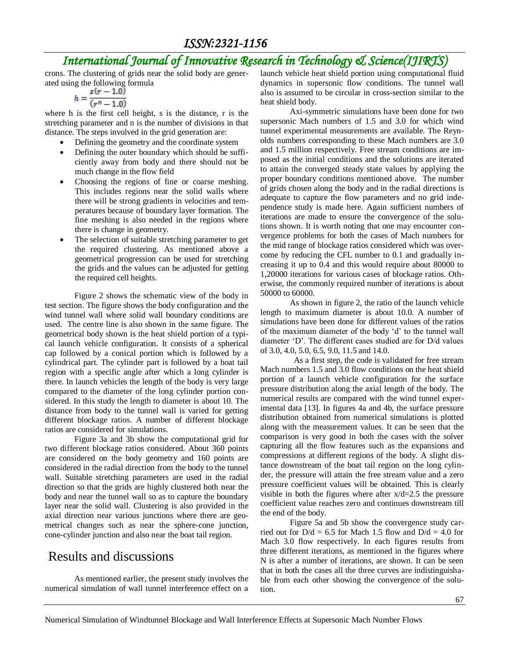# *International Journal of Innovative Research in Technology & Science(IJIRTS)*

crons. The clustering of grids near the solid body are generated using the following formula

$$
h = \frac{s(r - 1.0)}{(r^n - 1.0)}
$$

where h is the first cell height, s is the distance, r is the stretching parameter and n is the number of divisions in that distance. The steps involved in the grid generation are:

- Defining the geometry and the coordinate system
- Defining the outer boundary which should be sufficiently away from body and there should not be much change in the flow field
- Choosing the regions of fine or coarse meshing. This includes regions near the solid walls where there will be strong gradients in velocities and temperatures because of boundary layer formation. The fine meshing is also needed in the regions where there is change in geometry.
- The selection of suitable stretching parameter to get the required clustering. As mentioned above a geometrical progression can be used for stretching the grids and the values can be adjusted for getting the required cell heights.

Figure 2 shows the schematic view of the body in test section. The figure shows the body configuration and the wind tunnel wall where solid wall boundary conditions are used. The centre line is also shown in the same figure. The geometrical body shown is the heat shield portion of a typical launch vehicle configuration. It consists of a spherical cap followed by a conical portion which is followed by a cylindrical part. The cylinder part is followed by a boat tail region with a specific angle after which a long cylinder is there. In launch vehicles the length of the body is very large compared to the diameter of the long cylinder portion considered. In this study the length to diameter is about 10. The distance from body to the tunnel wall is varied for getting different blockage ratios. A number of different blockage ratios are considered for simulations.

Figure 3a and 3b show the computational grid for two different blockage ratios considered. About 360 points are considered on the body geometry and 160 points are considered in the radial direction from the body to the tunnel wall. Suitable stretching parameters are used in the radial direction so that the grids are highly clustered both near the body and near the tunnel wall so as to capture the boundary layer near the solid wall. Clustering is also provided in the axial direction near various junctions where there are geometrical changes such as near the sphere-cone junction, cone-cylinder junction and also near the boat tail region.

### Results and discussions

As mentioned earlier, the present study involves the numerical simulation of wall tunnel interference effect on a launch vehicle heat shield portion using computational fluid dynamics in supersonic flow conditions. The tunnel wall also is assumed to be circular in cross-section similar to the heat shield body.

Axi-symmetric simulations have been done for two supersonic Mach numbers of 1.5 and 3.0 for which wind tunnel experimental measurements are available. The Reynolds numbers corresponding to these Mach numbers are 3.0 and 1.5 million respectively. Free stream conditions are imposed as the initial conditions and the solutions are iterated to attain the converged steady state values by applying the proper boundary conditions mentioned above. The number of grids chosen along the body and in the radial directions is adequate to capture the flow parameters and no grid independence study is made here. Again sufficient numbers of iterations are made to ensure the convergence of the solutions shown. It is worth noting that one may encounter convergence problems for both the cases of Mach numbers for the mid range of blockage ratios considered which was overcome by reducing the CFL number to 0.1 and gradually increasing it up to 0.4 and this would require about 80000 to 1,20000 iterations for various cases of blockage ratios. Otherwise, the commonly required number of iterations is about 50000 to 60000.

As shown in figure 2, the ratio of the launch vehicle length to maximum diameter is about 10.0. A number of simulations have been done for different values of the ratios of the maximum diameter of the body 'd' to the tunnel wall diameter 'D'. The different cases studied are for D/d values of 3.0, 4.0, 5.0, 6.5, 9.0, 11.5 and 14.0.

 As a first step, the code is validated for free stream Mach numbers 1.5 and 3.0 flow conditions on the heat shield portion of a launch vehicle configuration for the surface pressure distribution along the axial length of the body. The numerical results are compared with the wind tunnel experimental data [13]. In figures 4a and 4b, the surface pressure distribution obtained from numerical simulations is plotted along with the measurement values. It can be seen that the comparison is very good in both the cases with the solver capturing all the flow features such as the expansions and compressions at different regions of the body. A slight distance downstream of the boat tail region on the long cylinder, the pressure will attain the free stream value and a zero pressure coefficient values will be obtained. This is clearly visible in both the figures where after  $x/d=2.5$  the pressure coefficient value reaches zero and continues downstream till the end of the body.

Figure 5a and 5b show the convergence study carried out for  $D/d = 6.5$  for Mach 1.5 flow and  $D/d = 4.0$  for Mach 3.0 flow respectively. In each figures results from three different iterations, as mentioned in the figures where N is after a number of iterations, are shown. It can be seen that in both the cases all the three curves are indistinguishable from each other showing the convergence of the solution.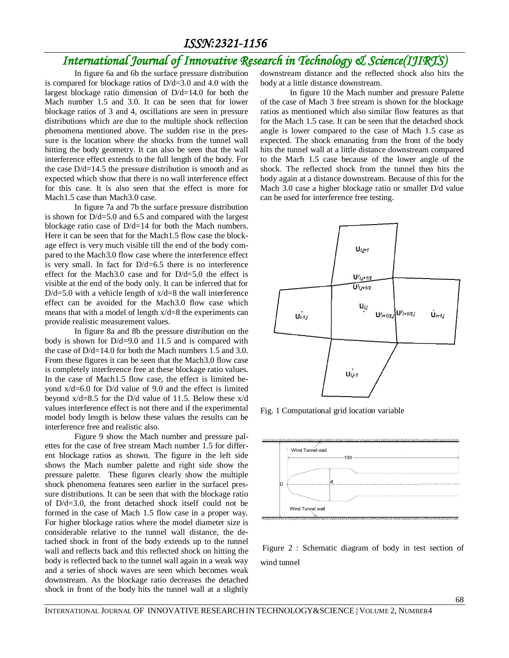# *International Journal of Innovative Research in Technology & Science(IJIRTS)*

In figure 6a and 6b the surface pressure distribution is compared for blockage ratios of D/d=3.0 and 4.0 with the largest blockage ratio dimension of D/d=14.0 for both the Mach number 1.5 and 3.0. It can be seen that for lower blockage ratios of 3 and 4, oscillations are seen in pressure distributions which are due to the multiple shock reflection phenomena mentioned above. The sudden rise in the pressure is the location where the shocks from the tunnel wall hitting the body geometry. It can also be seen that the wall interference effect extends to the full length of the body. For the case D/d=14.5 the pressure distribution is smooth and as expected which show that there is no wall interference effect for this case. It is also seen that the effect is more for Mach1.5 case than Mach3.0 case.

In figure 7a and 7b the surface pressure distribution is shown for D/d=5.0 and 6.5 and compared with the largest blockage ratio case of D/d=14 for both the Mach numbers. Here it can be seen that for the Mach1.5 flow case the blockage effect is very much visible till the end of the body compared to the Mach3.0 flow case where the interference effect is very small. In fact for D/d=6.5 there is no interference effect for the Mach3.0 case and for D/d=5.0 the effect is visible at the end of the body only. It can be inferred that for  $D/d=5.0$  with a vehicle length of  $x/d=8$  the wall interference effect can be avoided for the Mach3.0 flow case which means that with a model of length x/d=8 the experiments can provide realistic measurement values.

In figure 8a and 8b the pressure distribution on the body is shown for D/d=9.0 and 11.5 and is compared with the case of D/d=14.0 for both the Mach numbers 1.5 and 3.0. From these figures it can be seen that the Mach3.0 flow case is completely interference free at these blockage ratio values. In the case of Mach1.5 flow case, the effect is limited beyond x/d=6.0 for D/d value of 9.0 and the effect is limited beyond x/d=8.5 for the D/d value of 11.5. Below these x/d values interference effect is not there and if the experimental model body length is below these values the results can be interference free and realistic also.

Figure 9 show the Mach number and pressure palettes for the case of free stream Mach number 1.5 for different blockage ratios as shown. The figure in the left side shows the Mach number palette and right side show the pressure palette. These figures clearly show the multiple shock phenomena features seen earlier in the surfacel pressure distributions. It can be seen that with the blockage ratio of D/d=3.0, the front detached shock itself could not be formed in the case of Mach 1.5 flow case in a proper way. For higher blockage ratios where the model diameter size is considerable relative to the tunnel wall distance, the detached shock in front of the body extends up to the tunnel wall and reflects back and this reflected shock on hitting the body is reflected back to the tunnel wall again in a weak way and a series of shock waves are seen which becomes weak downstream. As the blockage ratio decreases the detached shock in front of the body hits the tunnel wall at a slightly

downstream distance and the reflected shock also hits the body at a little distance downstream.

In figure 10 the Mach number and pressure Palette of the case of Mach 3 free stream is shown for the blockage ratios as mentioned which also similar flow features as that for the Mach 1.5 case. It can be seen that the detached shock angle is lower compared to the case of Mach 1.5 case as expected. The shock emanating from the front of the body hits the tunnel wall at a little distance downstream compared to the Mach 1.5 case because of the lower angle of the shock. The reflected shock from the tunnel then hits the body again at a distance downstream. Because of this for the Mach 3.0 case a higher blockage ratio or smaller D/d value can be used for interference free testing.



Fig. 1 Computational grid location variable



Figure 2 : Schematic diagram of body in test section of wind tunnel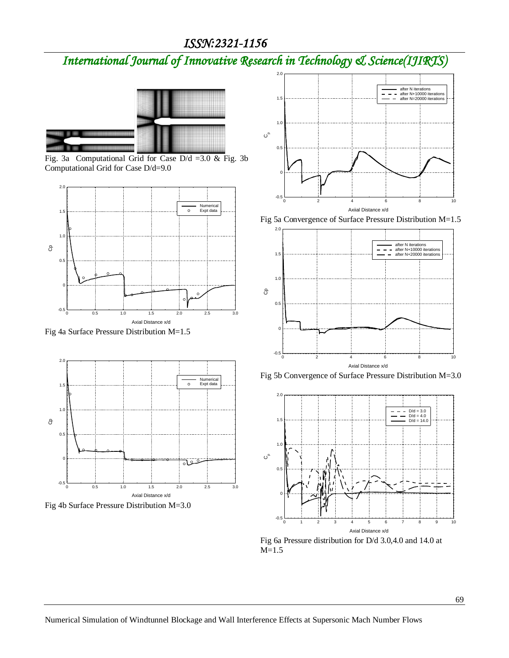*International Journal of Innovative Research in Technology & Science(IJIRTS)*



Fig. 3a Computational Grid for Case D/d =3.0 & Fig. 3b Computational Grid for Case D/d=9.0



Fig 4a Surface Pressure Distribution M=1.5





Fig 5a Convergence of Surface Pressure Distribution M=1.5



Fig 5b Convergence of Surface Pressure Distribution M=3.0



Fig 6a Pressure distribution for D/d 3.0,4.0 and 14.0 at  $M=1.5$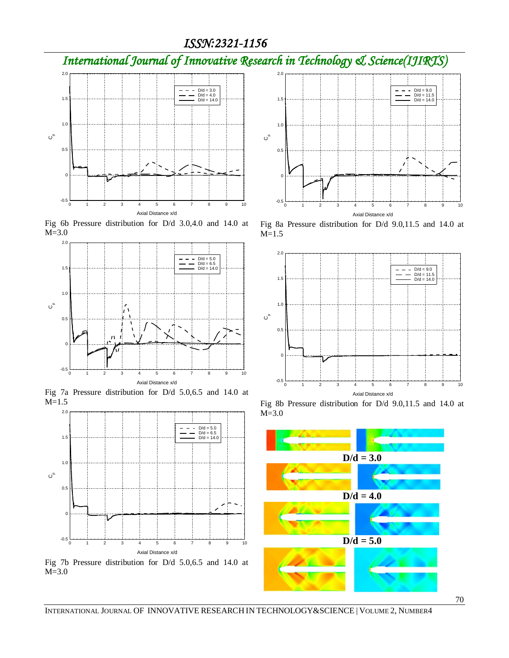*ISSN:2321-1156* 

*International Journal of Innovative Research in Technology & Science(IJIRTS)*



Fig 6b Pressure distribution for D/d 3.0,4.0 and 14.0 at  $M = 3.0$ 



Fig 7a Pressure distribution for D/d 5.0,6.5 and 14.0 at  $M=1.5$ 



Fig 7b Pressure distribution for D/d 5.0,6.5 and 14.0 at M=3.0



Fig 8a Pressure distribution for D/d 9.0,11.5 and 14.0 at  $M=1.5$ 



Fig 8b Pressure distribution for D/d 9.0,11.5 and 14.0 at M=3.0

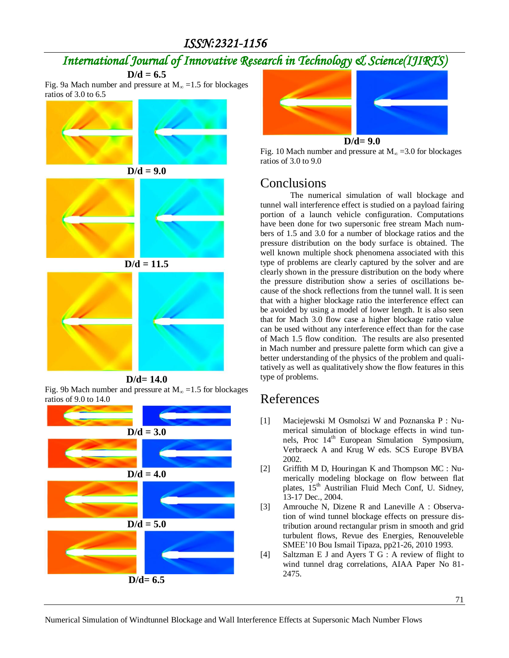# *International Journal of Innovative Research in Technology & Science(IJIRTS)*



 $D/d = 6.5$ 

Fig. 9b Mach number and pressure at  $M_{\infty}$  =1.5 for blockages ratios of 9.0 to 14.0





**D/d= 9.0**

Fig. 10 Mach number and pressure at  $M_{\infty}$  =3.0 for blockages ratios of 3.0 to 9.0

### **Conclusions**

The numerical simulation of wall blockage and tunnel wall interference effect is studied on a payload fairing portion of a launch vehicle configuration. Computations have been done for two supersonic free stream Mach numbers of 1.5 and 3.0 for a number of blockage ratios and the pressure distribution on the body surface is obtained. The well known multiple shock phenomena associated with this type of problems are clearly captured by the solver and are clearly shown in the pressure distribution on the body where the pressure distribution show a series of oscillations because of the shock reflections from the tunnel wall. It is seen that with a higher blockage ratio the interference effect can be avoided by using a model of lower length. It is also seen that for Mach 3.0 flow case a higher blockage ratio value can be used without any interference effect than for the case of Mach 1.5 flow condition. The results are also presented in Mach number and pressure palette form which can give a better understanding of the physics of the problem and qualitatively as well as qualitatively show the flow features in this type of problems.

### References

- [1] Maciejewski M Osmolszi W and Poznanska P : Numerical simulation of blockage effects in wind tunnels, Proc 14<sup>th</sup> European Simulation Symposium, Verbraeck A and Krug W eds. SCS Europe BVBA 2002.
- [2] Griffith M D, Houringan K and Thompson MC : Numerically modeling blockage on flow between flat plates, 15<sup>th</sup> Austrilian Fluid Mech Conf, U. Sidney, 13-17 Dec., 2004.
- [3] Amrouche N, Dizene R and Laneville A : Observation of wind tunnel blockage effects on pressure distribution around rectangular prism in smooth and grid turbulent flows, Revue des Energies, Renouveleble SMEE'10 Bou Ismail Tipaza, pp21-26, 2010 1993.
- [4] Saltzman E J and Ayers T G : A review of flight to wind tunnel drag correlations, AIAA Paper No 81- 2475.